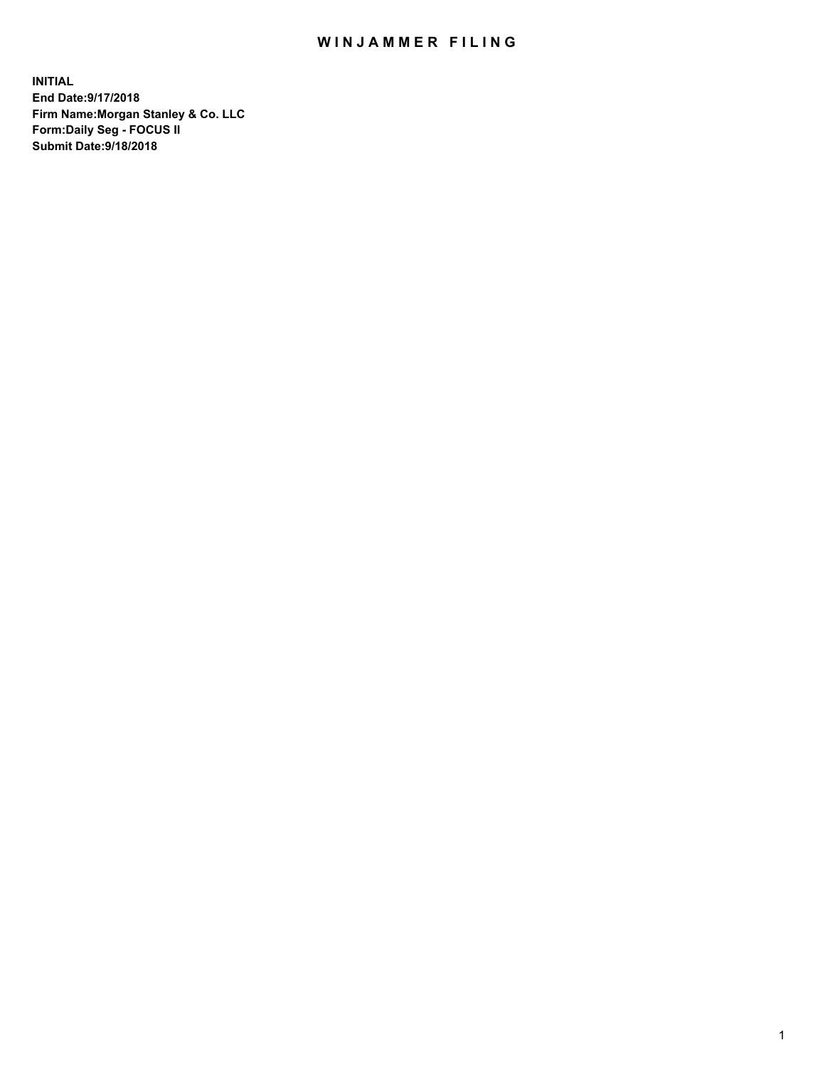## WIN JAMMER FILING

**INITIAL End Date:9/17/2018 Firm Name:Morgan Stanley & Co. LLC Form:Daily Seg - FOCUS II Submit Date:9/18/2018**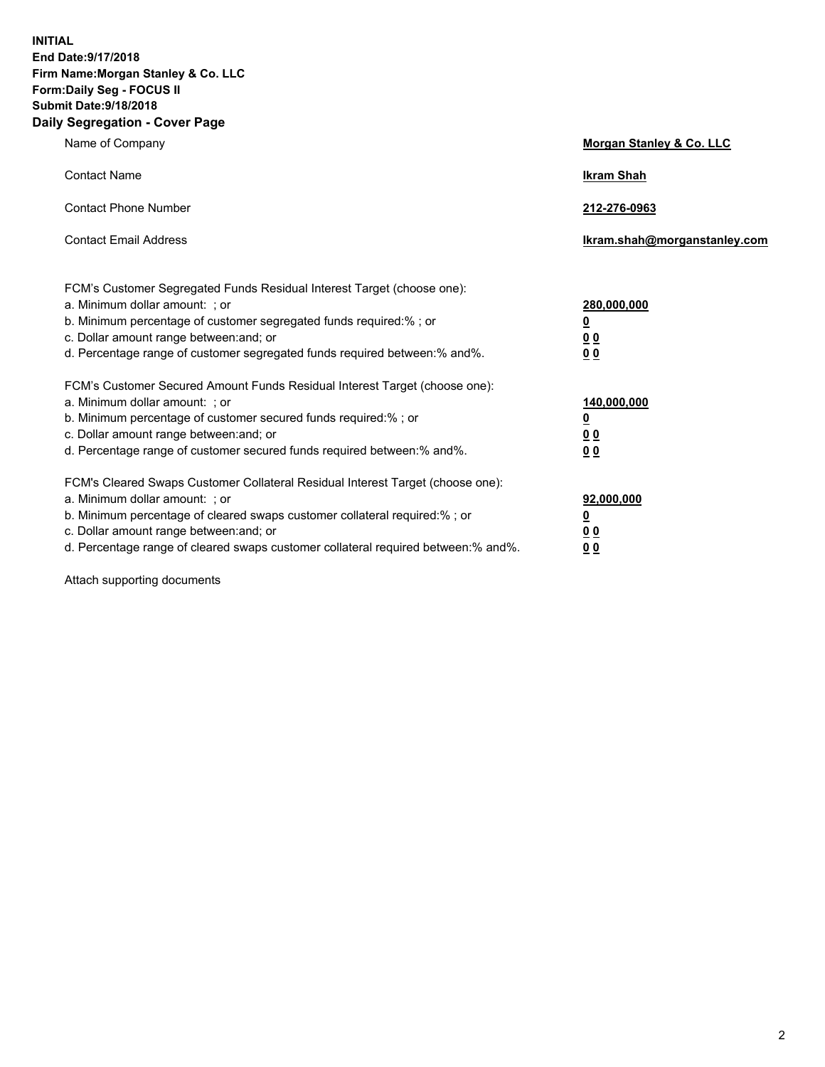**INITIAL End Date:9/17/2018 Firm Name:Morgan Stanley & Co. LLC Form:Daily Seg - FOCUS II Submit Date:9/18/2018 Daily Segregation - Cover Page**

| Name of Company                                                                                                                                                                                                                                                                                                                | Morgan Stanley & Co. LLC                               |
|--------------------------------------------------------------------------------------------------------------------------------------------------------------------------------------------------------------------------------------------------------------------------------------------------------------------------------|--------------------------------------------------------|
| <b>Contact Name</b>                                                                                                                                                                                                                                                                                                            | <b>Ikram Shah</b>                                      |
| <b>Contact Phone Number</b>                                                                                                                                                                                                                                                                                                    | 212-276-0963                                           |
| <b>Contact Email Address</b>                                                                                                                                                                                                                                                                                                   | lkram.shah@morganstanley.com                           |
| FCM's Customer Segregated Funds Residual Interest Target (choose one):<br>a. Minimum dollar amount: ; or<br>b. Minimum percentage of customer segregated funds required:% ; or<br>c. Dollar amount range between: and; or<br>d. Percentage range of customer segregated funds required between:% and%.                         | 280,000,000<br><u>0</u><br><u>0 0</u><br>0 Q           |
| FCM's Customer Secured Amount Funds Residual Interest Target (choose one):<br>a. Minimum dollar amount: ; or<br>b. Minimum percentage of customer secured funds required:%; or<br>c. Dollar amount range between: and; or<br>d. Percentage range of customer secured funds required between:% and%.                            | 140,000,000<br><u>0</u><br><u>00</u><br>0 <sub>0</sub> |
| FCM's Cleared Swaps Customer Collateral Residual Interest Target (choose one):<br>a. Minimum dollar amount: ; or<br>b. Minimum percentage of cleared swaps customer collateral required:% ; or<br>c. Dollar amount range between: and; or<br>d. Percentage range of cleared swaps customer collateral required between:% and%. | 92,000,000<br><u>0</u><br><u>00</u><br>0 <sup>0</sup>  |

Attach supporting documents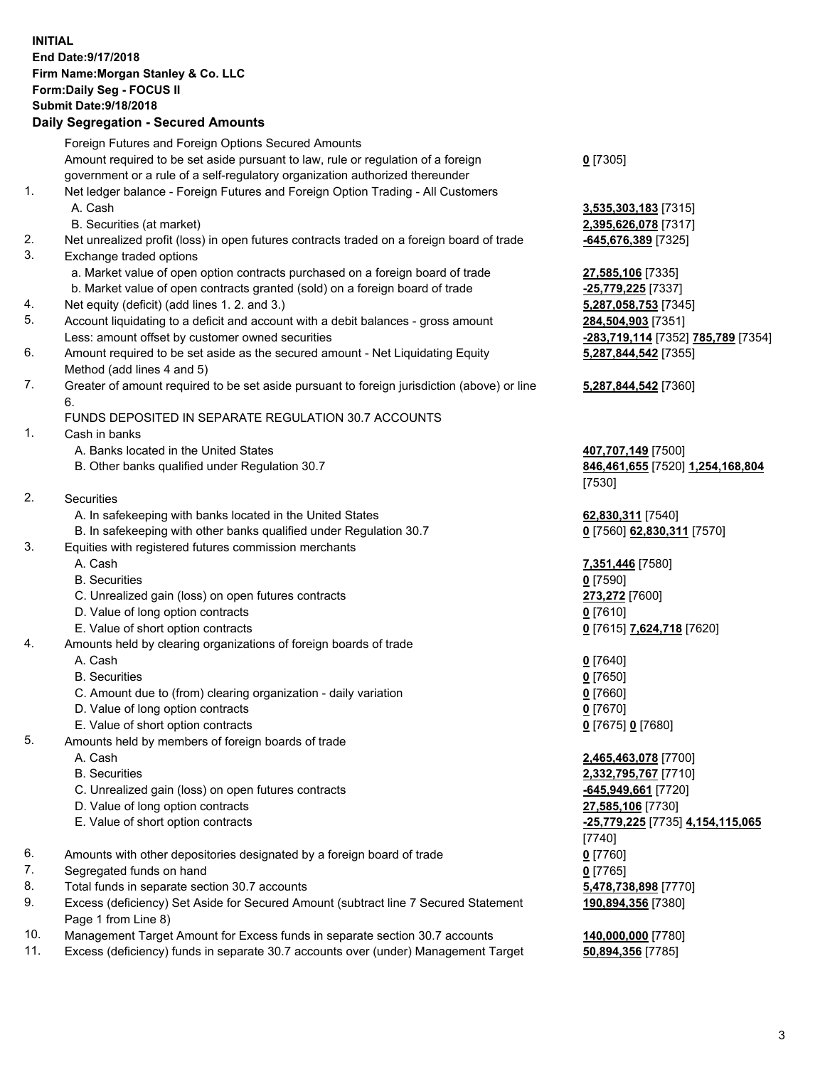## **INITIAL End Date:9/17/2018 Firm Name:Morgan Stanley & Co. LLC Form:Daily Seg - FOCUS II Submit Date:9/18/2018 Daily Segregation - Secured Amounts**

Foreign Futures and Foreign Options Secured Amounts Amount required to be set aside pursuant to law, rule or regulation of a foreign government or a rule of a self-regulatory organization authorized thereunder **0** [7305] 1. Net ledger balance - Foreign Futures and Foreign Option Trading - All Customers A. Cash **3,535,303,183** [7315] B. Securities (at market) **2,395,626,078** [7317] 2. Net unrealized profit (loss) in open futures contracts traded on a foreign board of trade **-645,676,389** [7325] 3. Exchange traded options a. Market value of open option contracts purchased on a foreign board of trade **27,585,106** [7335] b. Market value of open contracts granted (sold) on a foreign board of trade **-25,779,225** [7337] 4. Net equity (deficit) (add lines 1. 2. and 3.) **5,287,058,753** [7345] 5. Account liquidating to a deficit and account with a debit balances - gross amount **284,504,903** [7351] Less: amount offset by customer owned securities **-283,719,114** [7352] **785,789** [7354] 6. Amount required to be set aside as the secured amount - Net Liquidating Equity Method (add lines 4 and 5) **5,287,844,542** [7355] 7. Greater of amount required to be set aside pursuant to foreign jurisdiction (above) or line 6. **5,287,844,542** [7360] FUNDS DEPOSITED IN SEPARATE REGULATION 30.7 ACCOUNTS 1. Cash in banks A. Banks located in the United States **407,707,149** [7500] B. Other banks qualified under Regulation 30.7 **846,461,655** [7520] **1,254,168,804** [7530] 2. Securities A. In safekeeping with banks located in the United States **62,830,311** [7540] B. In safekeeping with other banks qualified under Regulation 30.7 **0** [7560] **62,830,311** [7570] 3. Equities with registered futures commission merchants A. Cash **7,351,446** [7580] B. Securities **0** [7590] C. Unrealized gain (loss) on open futures contracts **273,272** [7600] D. Value of long option contracts **0** [7610] E. Value of short option contracts **0** [7615] **7,624,718** [7620] 4. Amounts held by clearing organizations of foreign boards of trade A. Cash **0** [7640] B. Securities **0** [7650] C. Amount due to (from) clearing organization - daily variation **0** [7660] D. Value of long option contracts **0** [7670] E. Value of short option contracts **0** [7675] **0** [7680] 5. Amounts held by members of foreign boards of trade A. Cash **2,465,463,078** [7700] B. Securities **2,332,795,767** [7710] C. Unrealized gain (loss) on open futures contracts **-645,949,661** [7720] D. Value of long option contracts **27,585,106** [7730] E. Value of short option contracts **-25,779,225** [7735] **4,154,115,065** [7740] 6. Amounts with other depositories designated by a foreign board of trade **0** [7760] 7. Segregated funds on hand **0** [7765] 8. Total funds in separate section 30.7 accounts **5,478,738,898** [7770] 9. Excess (deficiency) Set Aside for Secured Amount (subtract line 7 Secured Statement **190,894,356** [7380]

- 
- 10. Management Target Amount for Excess funds in separate section 30.7 accounts **140,000,000** [7780]

Page 1 from Line 8)

11. Excess (deficiency) funds in separate 30.7 accounts over (under) Management Target **50,894,356** [7785]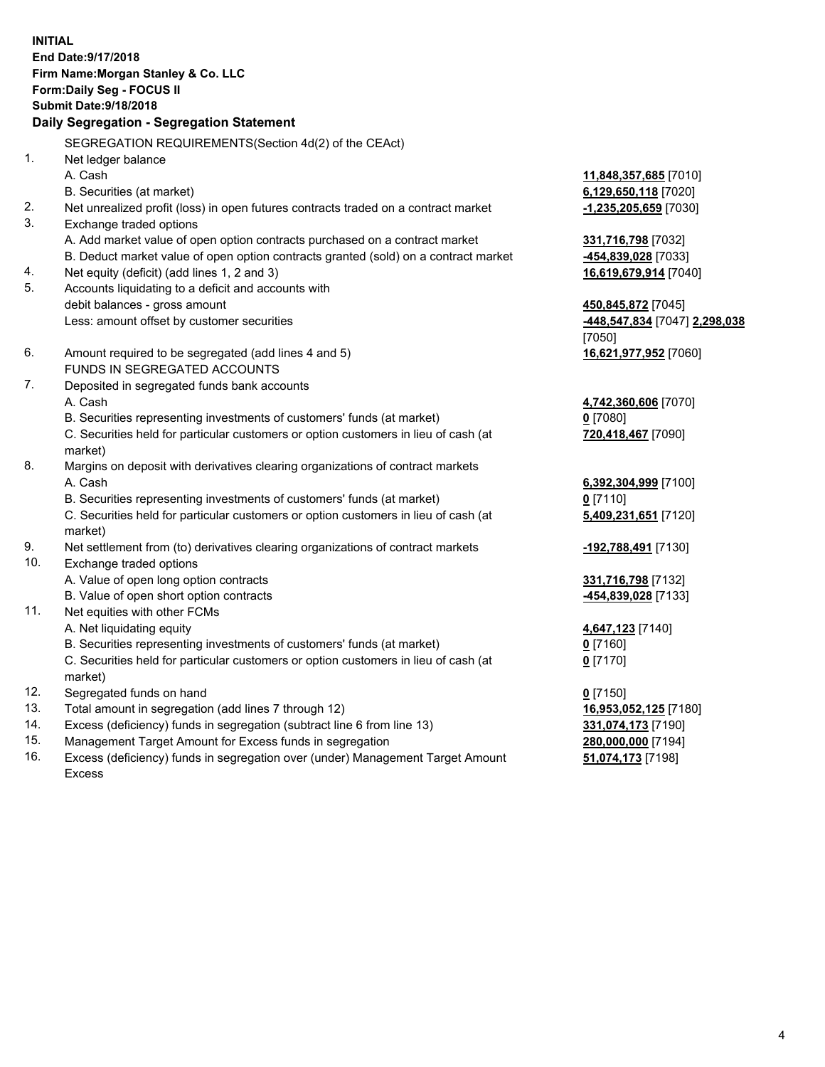**INITIAL End Date:9/17/2018 Firm Name:Morgan Stanley & Co. LLC Form:Daily Seg - FOCUS II Submit Date:9/18/2018 Daily Segregation - Segregation Statement** SEGREGATION REQUIREMENTS(Section 4d(2) of the CEAct) 1. Net ledger balance A. Cash **11,848,357,685** [7010] B. Securities (at market) **6,129,650,118** [7020] 2. Net unrealized profit (loss) in open futures contracts traded on a contract market **-1,235,205,659** [7030] 3. Exchange traded options A. Add market value of open option contracts purchased on a contract market **331,716,798** [7032] B. Deduct market value of open option contracts granted (sold) on a contract market **-454,839,028** [7033] 4. Net equity (deficit) (add lines 1, 2 and 3) **16,619,679,914** [7040] 5. Accounts liquidating to a deficit and accounts with debit balances - gross amount **450,845,872** [7045] Less: amount offset by customer securities **-448,547,834** [7047] **2,298,038** [7050] 6. Amount required to be segregated (add lines 4 and 5) **16,621,977,952** [7060] FUNDS IN SEGREGATED ACCOUNTS 7. Deposited in segregated funds bank accounts A. Cash **4,742,360,606** [7070] B. Securities representing investments of customers' funds (at market) **0** [7080] C. Securities held for particular customers or option customers in lieu of cash (at market) **720,418,467** [7090] 8. Margins on deposit with derivatives clearing organizations of contract markets A. Cash **6,392,304,999** [7100] B. Securities representing investments of customers' funds (at market) **0** [7110] C. Securities held for particular customers or option customers in lieu of cash (at market) **5,409,231,651** [7120] 9. Net settlement from (to) derivatives clearing organizations of contract markets **-192,788,491** [7130] 10. Exchange traded options A. Value of open long option contracts **331,716,798** [7132] B. Value of open short option contracts **-454,839,028** [7133] 11. Net equities with other FCMs A. Net liquidating equity **4,647,123** [7140] B. Securities representing investments of customers' funds (at market) **0** [7160] C. Securities held for particular customers or option customers in lieu of cash (at market) **0** [7170] 12. Segregated funds on hand **0** [7150] 13. Total amount in segregation (add lines 7 through 12) **16,953,052,125** [7180] 14. Excess (deficiency) funds in segregation (subtract line 6 from line 13) **331,074,173** [7190] 15. Management Target Amount for Excess funds in segregation **280,000,000** [7194]

16. Excess (deficiency) funds in segregation over (under) Management Target Amount Excess

**51,074,173** [7198]